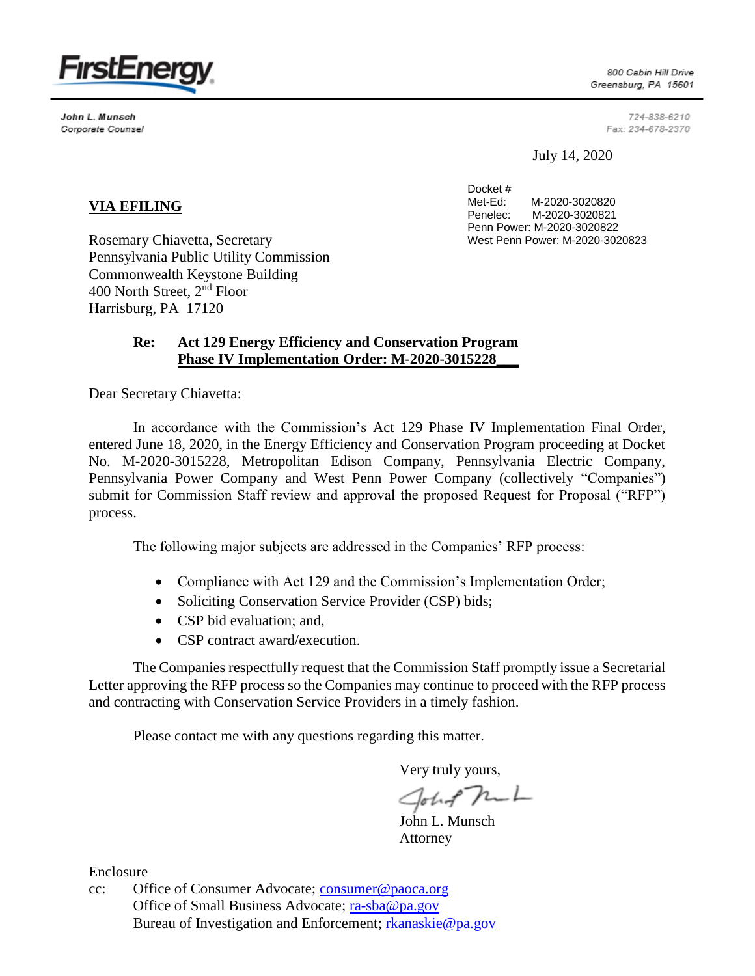

John L. Munsch Corporate Counsel

800 Cabin Hill Drive Greensburg, PA 15601

> 724-838-6210 Fax: 234-678-2370

July 14, 2020

Docket #<br>Met-Ed: M-2020-3020820 Penelec: M-2020-3020821 Penn Power: M-2020-3020822 West Penn Power: M-2020-3020823

## **VIA EFILING**

Rosemary Chiavetta, Secretary Pennsylvania Public Utility Commission Commonwealth Keystone Building 400 North Street, 2nd Floor Harrisburg, PA 17120

## **Re: Act 129 Energy Efficiency and Conservation Program Phase IV Implementation Order: M-2020-3015228\_\_\_**

Dear Secretary Chiavetta:

In accordance with the Commission's Act 129 Phase IV Implementation Final Order, entered June 18, 2020, in the Energy Efficiency and Conservation Program proceeding at Docket No. M-2020-3015228, Metropolitan Edison Company, Pennsylvania Electric Company, Pennsylvania Power Company and West Penn Power Company (collectively "Companies") submit for Commission Staff review and approval the proposed Request for Proposal ("RFP") process.

The following major subjects are addressed in the Companies' RFP process:

- Compliance with Act 129 and the Commission's Implementation Order;
- Soliciting Conservation Service Provider (CSP) bids;
- CSP bid evaluation; and,
- CSP contract award/execution.

The Companies respectfully request that the Commission Staff promptly issue a Secretarial Letter approving the RFP process so the Companies may continue to proceed with the RFP process and contracting with Conservation Service Providers in a timely fashion.

Please contact me with any questions regarding this matter.

Very truly yours,

John Mul

John L. Munsch Attorney

Enclosure

cc: Office of Consumer Advocate; [consumer@paoca.org](mailto:consumer@paoca.org) Office of Small Business Advocate; [ra-sba@pa.gov](mailto:ra-sba@pa.gov) Bureau of Investigation and Enforcement; [rkanaskie@pa.gov](mailto:rkanaskie@pa.gov)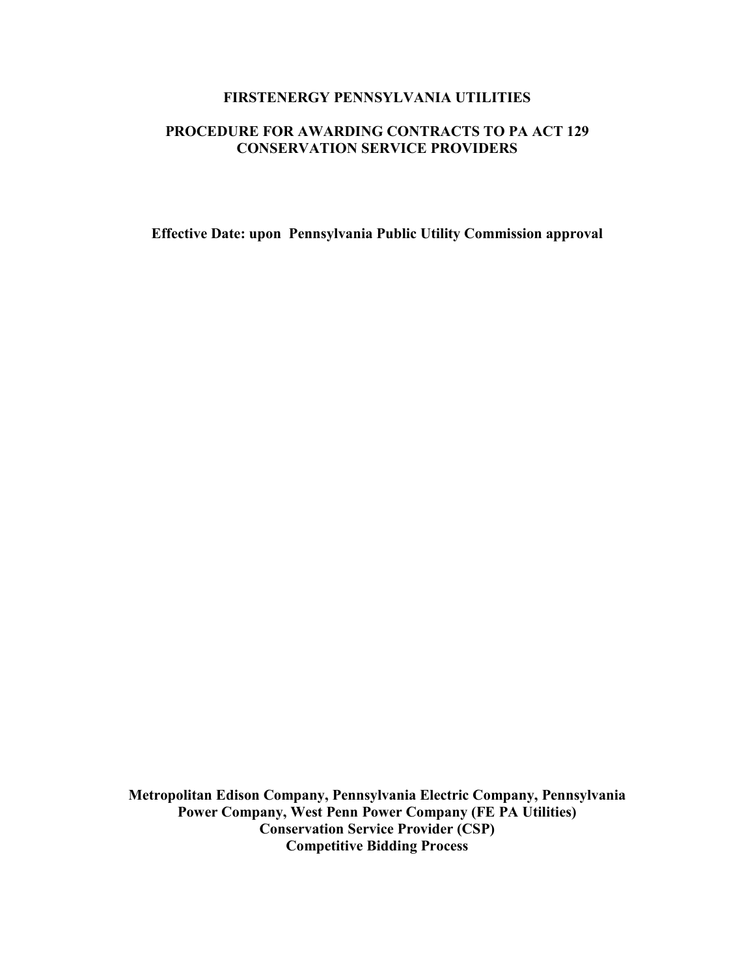## **FIRSTENERGY PENNSYLVANIA UTILITIES**

## **PROCEDURE FOR AWARDING CONTRACTS TO PA ACT 129 CONSERVATION SERVICE PROVIDERS**

**Effective Date: upon Pennsylvania Public Utility Commission approval**

**Metropolitan Edison Company, Pennsylvania Electric Company, Pennsylvania Power Company, West Penn Power Company (FE PA Utilities) Conservation Service Provider (CSP) Competitive Bidding Process**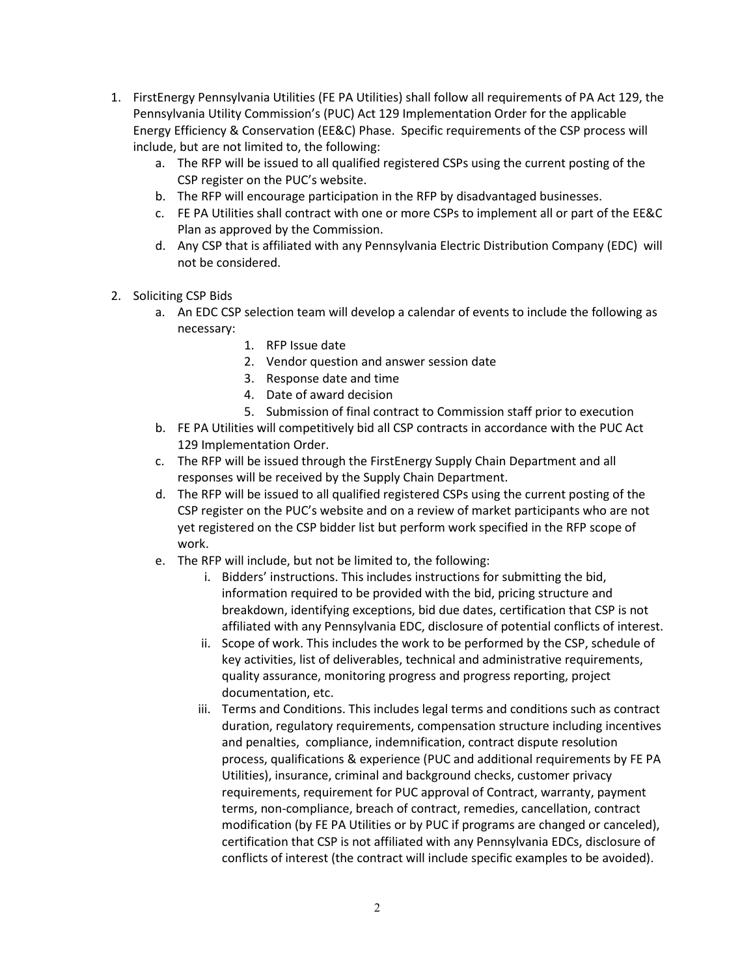- 1. FirstEnergy Pennsylvania Utilities (FE PA Utilities) shall follow all requirements of PA Act 129, the Pennsylvania Utility Commission's (PUC) Act 129 Implementation Order for the applicable Energy Efficiency & Conservation (EE&C) Phase. Specific requirements of the CSP process will include, but are not limited to, the following:
	- a. The RFP will be issued to all qualified registered CSPs using the current posting of the CSP register on the PUC's website.
	- b. The RFP will encourage participation in the RFP by disadvantaged businesses.
	- c. FE PA Utilities shall contract with one or more CSPs to implement all or part of the EE&C Plan as approved by the Commission.
	- d. Any CSP that is affiliated with any Pennsylvania Electric Distribution Company (EDC) will not be considered.
- 2. Soliciting CSP Bids
	- a. An EDC CSP selection team will develop a calendar of events to include the following as necessary:
		- 1. RFP Issue date
		- 2. Vendor question and answer session date
		- 3. Response date and time
		- 4. Date of award decision
		- 5. Submission of final contract to Commission staff prior to execution
	- b. FE PA Utilities will competitively bid all CSP contracts in accordance with the PUC Act 129 Implementation Order.
	- c. The RFP will be issued through the FirstEnergy Supply Chain Department and all responses will be received by the Supply Chain Department.
	- d. The RFP will be issued to all qualified registered CSPs using the current posting of the CSP register on the PUC's website and on a review of market participants who are not yet registered on the CSP bidder list but perform work specified in the RFP scope of work.
	- e. The RFP will include, but not be limited to, the following:
		- i. Bidders' instructions. This includes instructions for submitting the bid, information required to be provided with the bid, pricing structure and breakdown, identifying exceptions, bid due dates, certification that CSP is not affiliated with any Pennsylvania EDC, disclosure of potential conflicts of interest.
		- ii. Scope of work. This includes the work to be performed by the CSP, schedule of key activities, list of deliverables, technical and administrative requirements, quality assurance, monitoring progress and progress reporting, project documentation, etc.
		- iii. Terms and Conditions. This includes legal terms and conditions such as contract duration, regulatory requirements, compensation structure including incentives and penalties, compliance, indemnification, contract dispute resolution process, qualifications & experience (PUC and additional requirements by FE PA Utilities), insurance, criminal and background checks, customer privacy requirements, requirement for PUC approval of Contract, warranty, payment terms, non-compliance, breach of contract, remedies, cancellation, contract modification (by FE PA Utilities or by PUC if programs are changed or canceled), certification that CSP is not affiliated with any Pennsylvania EDCs, disclosure of conflicts of interest (the contract will include specific examples to be avoided).